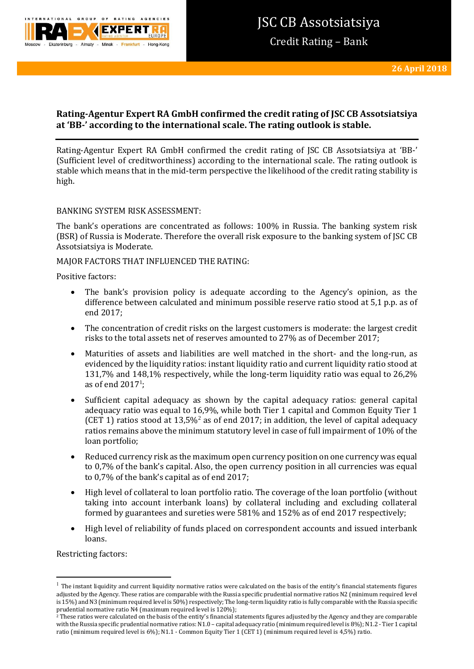

# **Rating-Agentur Expert RA GmbH confirmed the credit rating of JSC CB Assotsiatsiya at 'BB-' according to the international scale. The rating outlook is stable.**

Rating-Agentur Expert RA GmbH confirmed the credit rating of JSC CB Assotsiatsiya at 'BB-' (Sufficient level of creditworthiness) according to the international scale. The rating outlook is stable which means that in the mid-term perspective the likelihood of the credit rating stability is high.

BANKING SYSTEM RISK ASSESSMENT:

The bank's operations are concentrated as follows: 100% in Russia. The banking system risk (BSR) of Russia is Moderate. Therefore the overall risk exposure to the banking system of JSC CB Assotsiatsiya is Moderate.

MAJOR FACTORS THAT INFLUENCED THE RATING:

Positive factors:

- The bank's provision policy is adequate according to the Agency's opinion, as the difference between calculated and minimum possible reserve ratio stood at 5,1 p.p. as of end 2017;
- The concentration of credit risks on the largest customers is moderate: the largest credit risks to the total assets net of reserves amounted to 27% as of December 2017;
- Maturities of assets and liabilities are well matched in the short- and the long-run, as evidenced by the liquidity ratios: instant liquidity ratio and current liquidity ratio stood at 131,7% and 148,1% respectively, while the long-term liquidity ratio was equal to 26,2% as of end  $2017^1$ ;
- Sufficient capital adequacy as shown by the capital adequacy ratios: general capital adequacy ratio was equal to 16,9%, while both Tier 1 capital and Common Equity Tier 1 (CET 1) ratios stood at 13,5%<sup>2</sup> as of end 2017; in addition, the level of capital adequacy ratios remains above the minimum statutory level in case of full impairment of 10% of the loan portfolio;
- Reduced currency risk as the maximum open currency position on one currency was equal to 0,7% of the bank's capital. Also, the open currency position in all currencies was equal to 0,7% of the bank's capital as of end 2017;
- High level of collateral to loan portfolio ratio. The сoverage of the loan portfolio (without taking into account interbank loans) by collateral including and excluding collateral formed by guarantees and sureties were 581% and 152% as of end 2017 respectively;
- High level of reliability of funds placed on correspondent accounts and issued interbank loans.

Restricting factors:

1

 $<sup>1</sup>$  The instant liquidity and current liquidity normative ratios were calculated on the basis of the entity's financial statements figures</sup> adjusted by the Agency. These ratios are comparable with the Russia specific prudential normative ratios N2 (minimum required level is 15%) and N3 (minimum required level is 50%) respectively; The long-term liquidity ratio is fully comparable with the Russia specific prudential normative ratio N4 (maximum required level is 120%);

 $^2$  These ratios were calculated on the basis of the entity's financial statements figures adjusted by the Agency and they are comparable with the Russia specific prudential normative ratios: N1.0 – capital adequacy ratio (minimum required level is 8%); N1.2 - Tier 1 capital ratio (minimum required level is 6%); N1.1 - Common Equity Tier 1 (CET 1) (minimum required level is 4,5%) ratio.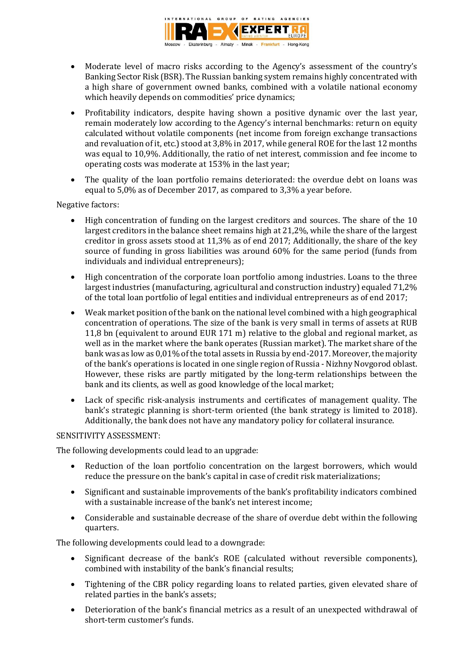

- Moderate level of macro risks according to the Agency's assessment of the country's Banking Sector Risk (BSR). The Russian banking system remains highly concentrated with a high share of government owned banks, combined with a volatile national economy which heavily depends on commodities' price dynamics;
- Profitability indicators, despite having shown a positive dynamic over the last year, remain moderately low according to the Agency's internal benchmarks: return on equity calculated without volatile components (net income from foreign exchange transactions and revaluation of it, etc.) stood at 3,8% in 2017, while general ROE for the last 12 months was equal to 10,9%. Additionally, the ratio of net interest, commission and fee income to operating costs was moderate at 153% in the last year;
- The quality of the loan portfolio remains deteriorated: the overdue debt on loans was equal to 5,0% as of December 2017, as compared to 3,3% a year before.

Negative factors:

- High concentration of funding on the largest creditors and sources. The share of the 10 largest creditors in the balance sheet remains high at 21,2%, while the share of the largest creditor in gross assets stood at 11,3% as of end 2017; Additionally, the share of the key source of funding in gross liabilities was around 60% for the same period (funds from individuals and individual entrepreneurs);
- High concentration of the corporate loan portfolio among industries. Loans to the three largest industries (manufacturing, agricultural and construction industry) equaled 71,2% of the total loan portfolio of legal entities and individual entrepreneurs as of end 2017;
- Weak market position of the bank on the national level combined with a high geographical concentration of operations. The size of the bank is very small in terms of assets at RUB 11,8 bn (equivalent to around EUR 171 m) relative to the global and regional market, as well as in the market where the bank operates (Russian market). The market share of the bank was as low as 0,01% of the total assets in Russia by end-2017. Moreover, the majority of the bank's operations is located in one single region of Russia - Nizhny Novgorod oblast. However, these risks are partly mitigated by the long-term relationships between the bank and its clients, as well as good knowledge of the local market;
- Lack of specific risk-analysis instruments and certificates of management quality. The bank's strategic planning is short-term oriented (the bank strategy is limited to 2018). Additionally, the bank does not have any mandatory policy for collateral insurance.

## SENSITIVITY ASSESSMENT:

The following developments could lead to an upgrade:

- Reduction of the loan portfolio concentration on the largest borrowers, which would reduce the pressure on the bank's capital in case of credit risk materializations;
- Significant and sustainable improvements of the bank's profitability indicators combined with a sustainable increase of the bank's net interest income;
- Considerable and sustainable decrease of the share of overdue debt within the following quarters.

The following developments could lead to a downgrade:

- Significant decrease of the bank's ROE (calculated without reversible components), combined with instability of the bank's financial results;
- Tightening of the CBR policy regarding loans to related parties, given elevated share of related parties in the bank's assets;
- Deterioration of the bank's financial metrics as a result of an unexpected withdrawal of short-term customer's funds.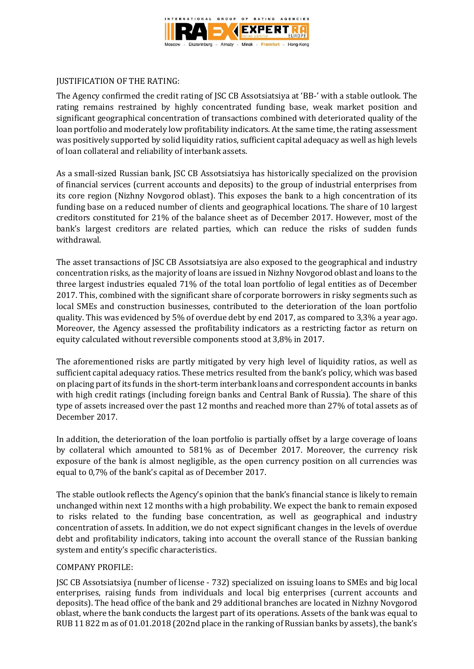

## JUSTIFICATION OF THE RATING:

The Agency confirmed the credit rating of JSC CB Assotsiatsiya at 'BB-' with a stable outlook. The rating remains restrained by highly concentrated funding base, weak market position and significant geographical concentration of transactions combined with deteriorated quality of the loan portfolio and moderately low profitability indicators. At the same time, the rating assessment was positively supported by solid liquidity ratios, sufficient capital adequacy as well as high levels of loan collateral and reliability of interbank assets.

As a small-sized Russian bank, JSC CB Assotsiatsiya has historically specialized on the provision of financial services (current accounts and deposits) to the group of industrial enterprises from its core region (Nizhny Novgorod oblast). This exposes the bank to a high concentration of its funding base on a reduced number of clients and geographical locations. The share of 10 largest creditors constituted for 21% of the balance sheet as of December 2017. However, most of the bank's largest creditors are related parties, which can reduce the risks of sudden funds withdrawal.

The asset transactions of JSC CB Assotsiatsiya are also exposed to the geographical and industry concentration risks, as the majority of loans are issued in Nizhny Novgorod oblast and loans to the three largest industries equaled 71% of the total loan portfolio of legal entities as of December 2017. This, combined with the significant share of corporate borrowers in risky segments such as local SMEs and construction businesses, contributed to the deterioration of the loan portfolio quality. This was evidenced by 5% of overdue debt by end 2017, as compared to 3,3% a year ago. Moreover, the Agency assessed the profitability indicators as a restricting factor as return on equity calculated without reversible components stood at 3,8% in 2017.

The aforementioned risks are partly mitigated by very high level of liquidity ratios, as well as sufficient capital adequacy ratios. These metrics resulted from the bank's policy, which was based on placing part of its funds in the short-term interbank loans and correspondent accounts in banks with high credit ratings (including foreign banks and Central Bank of Russia). The share of this type of assets increased over the past 12 months and reached more than 27% of total assets as of December 2017.

In addition, the deterioration of the loan portfolio is partially offset by a large coverage of loans by collateral which amounted to 581% as of December 2017. Moreover, the currency risk exposure of the bank is almost negligible, as the open currency position on all currencies was equal to 0,7% of the bank's capital as of December 2017.

The stable outlook reflects the Agency's opinion that the bank's financial stance is likely to remain unchanged within next 12 months with a high probability. We expect the bank to remain exposed to risks related to the funding base concentration, as well as geographical and industry concentration of assets. In addition, we do not expect significant changes in the levels of overdue debt and profitability indicators, taking into account the overall stance of the Russian banking system and entity's specific characteristics.

## COMPANY PROFILE:

JSC CB Assotsiatsiya (number of license - 732) specialized on issuing loans to SMEs and big local enterprises, raising funds from individuals and local big enterprises (current accounts and deposits). The head office of the bank and 29 additional branches are located in Nizhny Novgorod oblast, where the bank conducts the largest part of its operations. Assets of the bank was equal to RUB 11 822 m as of 01.01.2018 (202nd place in the ranking of Russian banks by assets), the bank's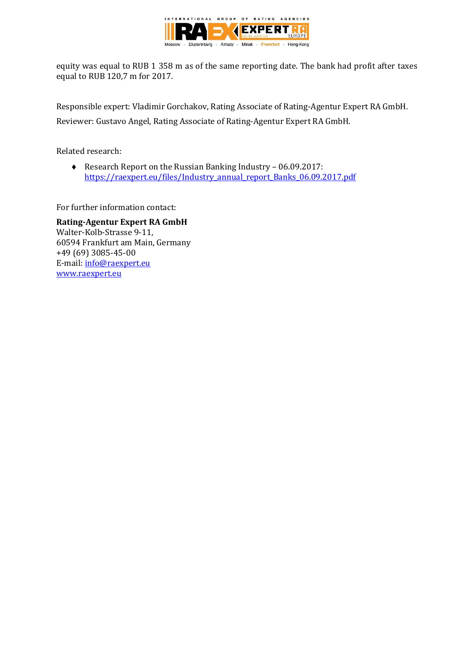

equity was equal to RUB 1 358 m as of the same reporting date. The bank had profit after taxes equal to RUB 120,7 m for 2017.

Responsible expert: Vladimir Gorchakov, Rating Associate of Rating-Agentur Expert RA GmbH. Reviewer: Gustavo Angel, Rating Associate of Rating-Agentur Expert RA GmbH.

Related research:

◆ Research Report on the Russian Banking Industry – 06.09.2017: [https://raexpert.eu/files/Industry\\_annual\\_report\\_Banks\\_06.09.2017.pdf](https://raexpert.eu/files/Industry_annual_report_Banks_06.09.2017.pdf)

For further information contact:

**Rating-Agentur Expert RA GmbH** Walter-Kolb-Strasse 9-11, 60594 Frankfurt am Main, Germany +49 (69) 3085-45-00 E-mail[: info@raexpert.eu](mailto:info@raexpert.eu) [www.raexpert.eu](http://raexpert.eu/)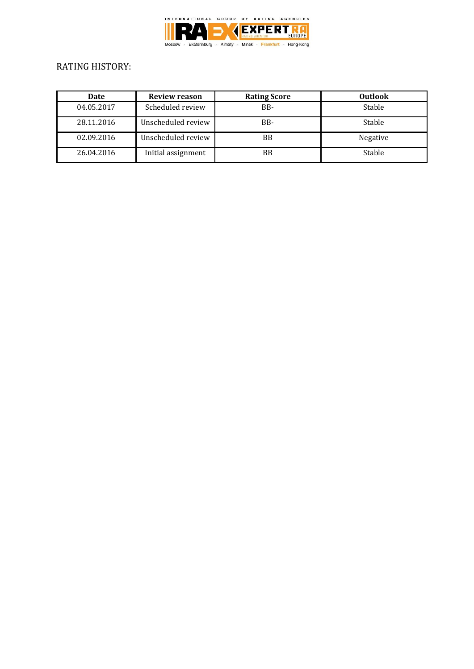

# RATING HISTORY:

| Date       | <b>Review reason</b> | <b>Rating Score</b> | <b>Outlook</b> |
|------------|----------------------|---------------------|----------------|
| 04.05.2017 | Scheduled review     | BB-                 | Stable         |
| 28.11.2016 | Unscheduled review   | B <sub>B</sub> -    | Stable         |
| 02.09.2016 | Unscheduled review   | BB                  | Negative       |
| 26.04.2016 | Initial assignment   | <b>BB</b>           | Stable         |